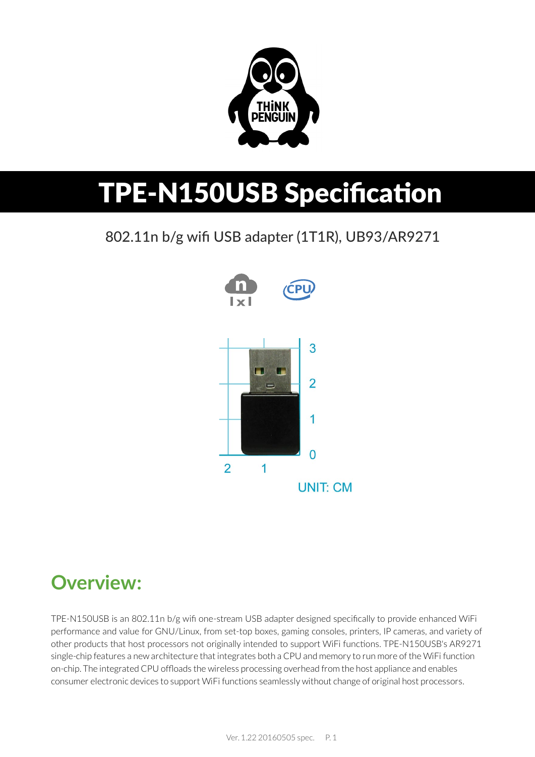

# TPE-N150USB Specification

802.11n b/g wifi USB adapter (1T1R), UB93/AR9271



### **Overview:**

TPE-N150USB is an 802.11n b/g wifi one-stream USB adapter designed specifically to provide enhanced WiFi performance and value for GNU/Linux, from set-top boxes, gaming consoles, printers, IP cameras, and variety of other products that host processors not originally intended to support WiFi functions. TPE-N150USB's AR9271 single-chip features a new architecture that integrates both a CPU and memory to run more of the WiFi function on-chip. The integrated CPU offloads the wireless processing overhead from the host appliance and enables consumer electronic devices to support WiFi functions seamlessly without change of original host processors.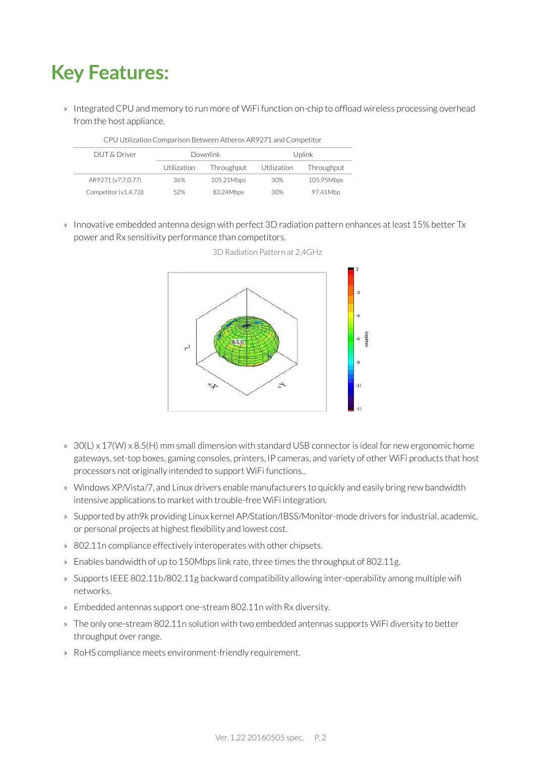# **Key Features:**

» Integrated CPU and memory to run more of WiFi function on-chip to offload wireless processing overhead from the host appliance.

| CPU Utilization Comparison Between Atheros AR9271 and Competitor |                 |            |             |            |  |
|------------------------------------------------------------------|-----------------|------------|-------------|------------|--|
| DUT & Driver                                                     | <b>Downlink</b> |            | Uplink      |            |  |
|                                                                  | Utilization     | Throughput | Utilization | Throughput |  |
| AR9271 (v7.7.0.77)                                               | 36%             | 105.21Mbps | 30%         | 105.95Mbps |  |
| Competitor (v1.4.7.0)                                            | 52%             | 83.24Mbps  | 30%         | 97.41Mbp   |  |

» Innovative embedded antenna design with perfect 3D radiation pattern enhances at least 15% better Tx power and Rx sensitivity performance than competitors.



3D Radiation Pattern at 2.4GHz

- » 30(L) x 17(W) x 8.5(H) mm small dimension with standard USB connector is ideal for new ergonomic home gateways, set-top boxes, gaming consoles, printers, IP cameras, and variety of other WiFi products that host processors not originally intended to support WiFi functions..
- » Windows XP/Vista/7, and Linux drivers enable manufacturers to quickly and easily bring new bandwidth intensive applications to market with trouble-free WiFi integration.
- » Supported by ath9k providing Linux kernel AP/Station/IBSS/Monitor-mode drivers for industrial, academic, or personal projects at highest flexibility and lowest cost.
- » 802.11n compliance effectively interoperates with other chipsets.
- » Enables bandwidth of up to 150Mbps link rate, three times the throughput of 802.11g.
- » Supports IEEE 802.11b/802.11g backward compatibility allowing inter-operability among multiple wifi networks.
- » Embedded antennas support one-stream 802.11n with Rx diversity.
- » The only one-stream 802.11n solution with two embedded antennas supports WiFi diversity to better throughput over range.
- » RoHS compliance meets environment-friendly requirement.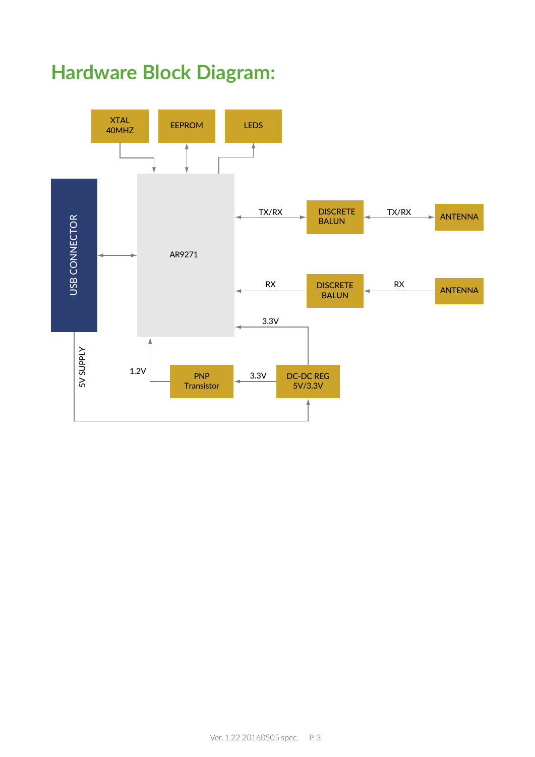## **Hardware Block Diagram:**

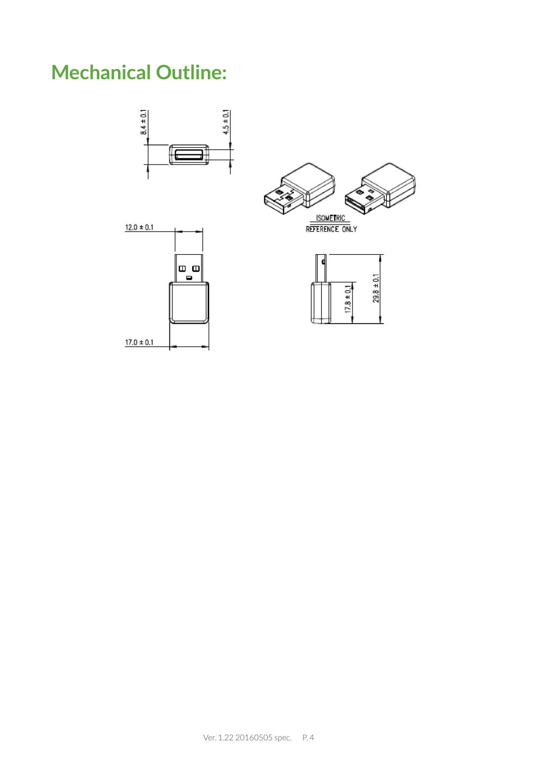# **Mechanical Outline:**

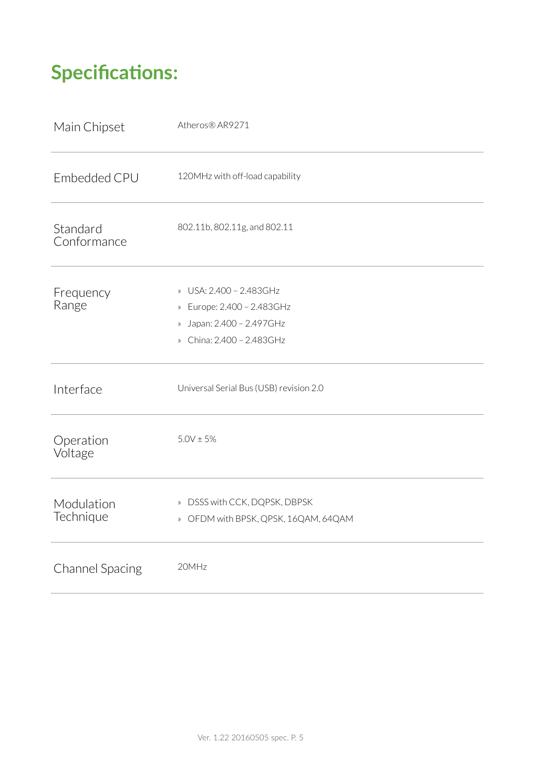# **Specifica�ons:**

| Main Chipset            | Atheros® AR9271                                                                                                 |
|-------------------------|-----------------------------------------------------------------------------------------------------------------|
| Embedded CPU            | 120MHz with off-load capability                                                                                 |
| Standard<br>Conformance | 802.11b, 802.11g, and 802.11                                                                                    |
| Frequency<br>Range      | » USA: 2.400 - 2.483GHz<br>» Europe: 2.400 - 2.483GHz<br>» Japan: 2.400 - 2.497GHz<br>» China: 2.400 - 2.483GHz |
| Interface               | Universal Serial Bus (USB) revision 2.0                                                                         |
| Operation<br>Voltage    | $5.0V \pm 5%$                                                                                                   |
| Modulation<br>Technique | » DSSS with CCK, DQPSK, DBPSK<br>» OFDM with BPSK, QPSK, 16QAM, 64QAM                                           |
| <b>Channel Spacing</b>  | 20MHz                                                                                                           |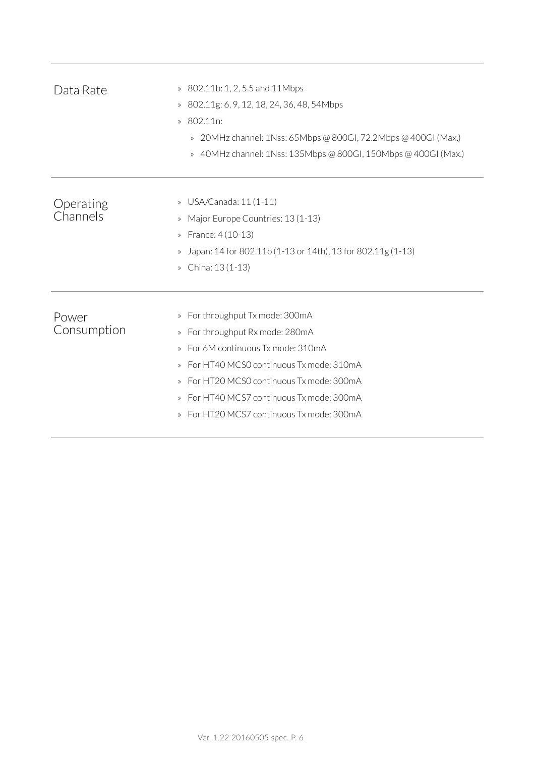| Data Rate             | 802.11b: 1, 2, 5.5 and 11Mbps<br>$\mathcal{P}$<br>802.11g: 6, 9, 12, 18, 24, 36, 48, 54Mbps<br>$\rangle\!\rangle$<br>802.11n:<br>$\mathcal{D}$<br>20MHz channel: 1Nss: 65Mbps @ 800GI, 72.2Mbps @ 400GI (Max.)<br>$\rangle\!\rangle$<br>40MHz channel: 1Nss: 135Mbps @ 800GI, 150Mbps @ 400GI (Max.)<br>$\mathcal{V}$                                                         |
|-----------------------|-------------------------------------------------------------------------------------------------------------------------------------------------------------------------------------------------------------------------------------------------------------------------------------------------------------------------------------------------------------------------------|
| Operating<br>Channels | USA/Canada: 11 (1-11)<br>$\rangle\!\rangle$<br>Major Europe Countries: 13 (1-13)<br>$\mathcal{P}$<br>France: 4 (10-13)<br>$\mathcal{V}$<br>Japan: 14 for 802.11b (1-13 or 14th), 13 for 802.11g (1-13)<br>$\rangle\!\rangle$<br>China: 13 (1-13)<br>$\rangle\!\rangle$                                                                                                        |
| Power<br>Consumption  | For throughput Tx mode: 300mA<br>$\rangle\!\rangle$<br>For throughput Rx mode: 280mA<br>$\rangle\!\rangle$<br>For 6M continuous Tx mode: 310mA<br>$\mathcal{P}$<br>For HT40 MCS0 continuous Tx mode: 310mA<br>$\mathcal{D}$<br>For HT20 MCS0 continuous Tx mode: 300mA<br>For HT40 MCS7 continuous Tx mode: 300mA<br>$\mathcal{Y}$<br>For HT20 MCS7 continuous Tx mode: 300mA |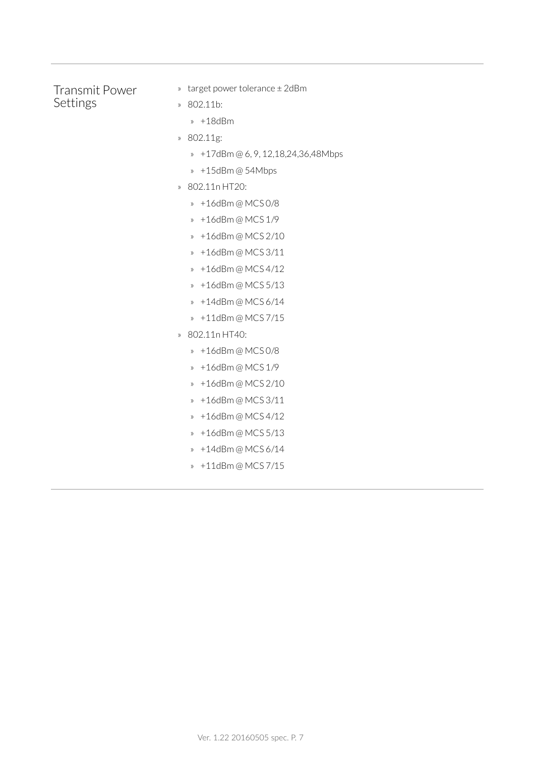### Transmit Power Settings

- » target power tolerance ± 2dBm
- » 802.11b:
	- » +18dBm
- » 802.11g:
	- » +17dBm @ 6, 9, 12,18,24,36,48Mbps
	- » +15dBm @ 54Mbps
- » 802.11n HT20:
	- » +16dBm @ MCS 0/8
	- » +16dBm @ MCS 1/9
	- » +16dBm @ MCS 2/10
	- » +16dBm @ MCS 3/11
	- » +16dBm @ MCS 4/12
	- » +16dBm @ MCS 5/13
	- » +14dBm @ MCS 6/14
	- » +11dBm @ MCS 7/15
- » 802.11n HT40:
	- » +16dBm @ MCS 0/8
	- » +16dBm @ MCS 1/9
	- » +16dBm @ MCS 2/10
	- » +16dBm @ MCS 3/11
	- » +16dBm @ MCS 4/12
	- » +16dBm @ MCS 5/13
	- » +14dBm @ MCS 6/14
	- » +11dBm @ MCS 7/15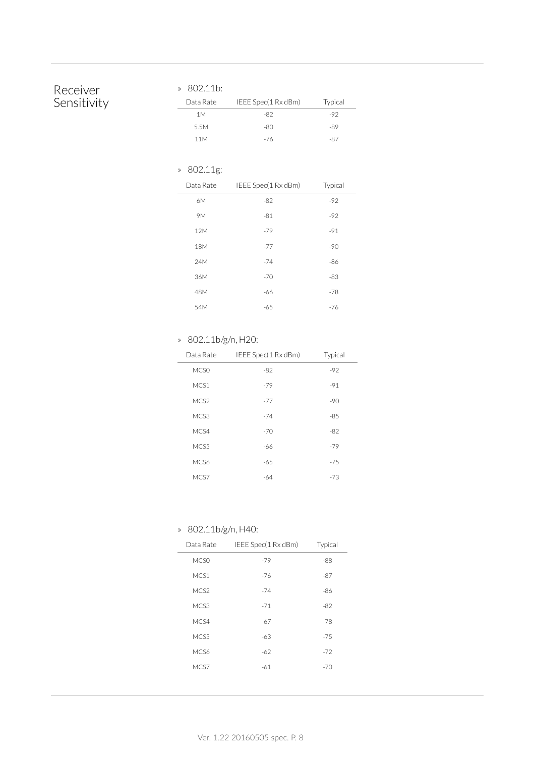### Receiver Sensitivity

### » 802.11b:

| Data Rate | IEEE Spec(1 Rx dBm) | Typical |
|-----------|---------------------|---------|
| 1 M       | -82                 | -92     |
| 5.5M      | -80                 | -89     |
| 11M       | -76                 | -87     |

### » 802.11g:

| Data Rate | IEEE Spec(1 Rx dBm) | Typical |
|-----------|---------------------|---------|
| 6M        | $-82$               | $-92$   |
| 9M        | $-81$               | $-92$   |
| 12M       | $-79$               | $-91$   |
| 18M       | $-77$               | $-90$   |
| 24M       | $-74$               | $-86$   |
| 36M       | $-70$               | $-83$   |
| 48M       | -66                 | $-78$   |
| 54M       | $-65$               | $-76$   |
|           |                     |         |

### » 802.11b/g/n, H20:

| Data Rate        | IEEE Spec(1 Rx dBm) | Typical |
|------------------|---------------------|---------|
| MC <sub>SO</sub> | $-82$               | $-92$   |
| MCS1             | $-79$               | $-91$   |
| MCS2             | $-77$               | $-90$   |
| MCS3             | $-74$               | $-85$   |
| MC <sub>S4</sub> | $-70$               | $-82$   |
| MCS <sub>5</sub> | -66                 | $-79$   |
| MC <sub>S6</sub> | $-65$               | $-75$   |
| MCS7             | $-64$               | $-73$   |

### » 802.11b/g/n, H40:

| Data Rate        | IEEE Spec(1 Rx dBm) | Typical |
|------------------|---------------------|---------|
| MCS <sub>0</sub> | $-79$               | $-88$   |
| MCS1             | $-76$               | $-87$   |
| MCS2             | $-74$               | $-86$   |
| MCS3             | $-71$               | $-82$   |
| MC <sub>S4</sub> | $-67$               | $-78$   |
| MCS5             | $-63$               | $-75$   |
| MC <sub>S6</sub> | $-62$               | $-72$   |
| MCS7             | -61                 | $-70$   |
|                  |                     |         |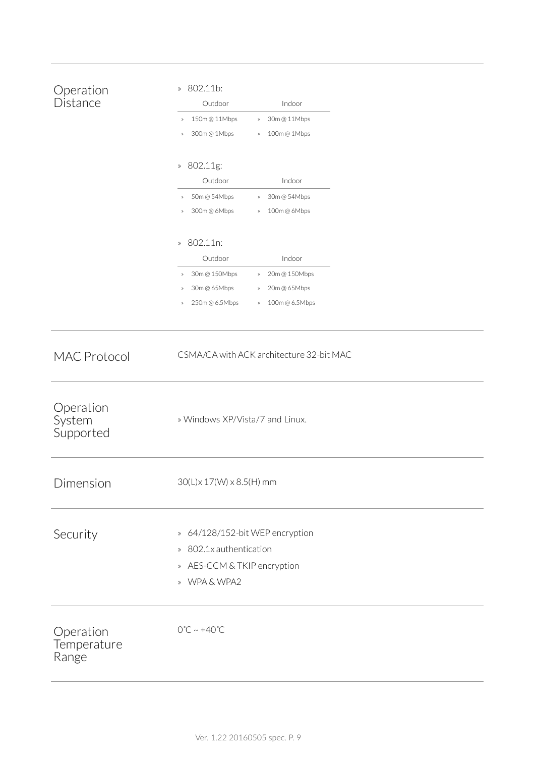| Operation<br>Distance             | 802.11b:<br>$\rangle\!\rangle$<br>Outdoor<br>Indoor<br>150m@11Mbps<br>30m @ 11Mbps<br>$\rangle\!\rangle$<br>$\rangle\!\rangle$<br>300m@1Mbps<br>100m@1Mbps<br>$\rangle\!\rangle$<br>$\rangle\!\rangle$<br>802.11g:<br>$\rangle\!\rangle$<br>Outdoor<br>Indoor<br>50m @ 54Mbps<br>30m @ 54Mbps<br>$\rangle\!\rangle$<br>$\rangle\!\rangle$<br>300m@6Mbps<br>100m@6Mbps<br>$\rangle\!\rangle$<br>$\rangle\!\rangle$ |
|-----------------------------------|-------------------------------------------------------------------------------------------------------------------------------------------------------------------------------------------------------------------------------------------------------------------------------------------------------------------------------------------------------------------------------------------------------------------|
|                                   | 802.11n:<br>$\rangle\!\rangle$<br>Outdoor<br>Indoor<br>30m @ 150Mbps<br>20m@150Mbps<br>$\rangle\!\rangle$<br>$\gg$<br>30m@65Mbps<br>20m@65Mbps<br>$\rangle\!\rangle$<br>$\rangle\!\rangle$<br>250m@6.5Mbps<br>100m@6.5Mbps<br>$\rangle\!\rangle$<br>$\rangle\!\rangle$                                                                                                                                            |
| <b>MAC Protocol</b>               | CSMA/CA with ACK architecture 32-bit MAC                                                                                                                                                                                                                                                                                                                                                                          |
| Operation<br>System<br>Supported  | » Windows XP/Vista/7 and Linux.                                                                                                                                                                                                                                                                                                                                                                                   |
| Dimension                         | $30(L) \times 17(W) \times 8.5(H)$ mm                                                                                                                                                                                                                                                                                                                                                                             |
| Security                          | » 64/128/152-bit WEP encryption<br>» 802.1x authentication<br>» AES-CCM & TKIP encryption<br>» WPA & WPA2                                                                                                                                                                                                                                                                                                         |
| Operation<br>Temperature<br>Range | $0^{\circ}$ C ~ +40 $^{\circ}$ C                                                                                                                                                                                                                                                                                                                                                                                  |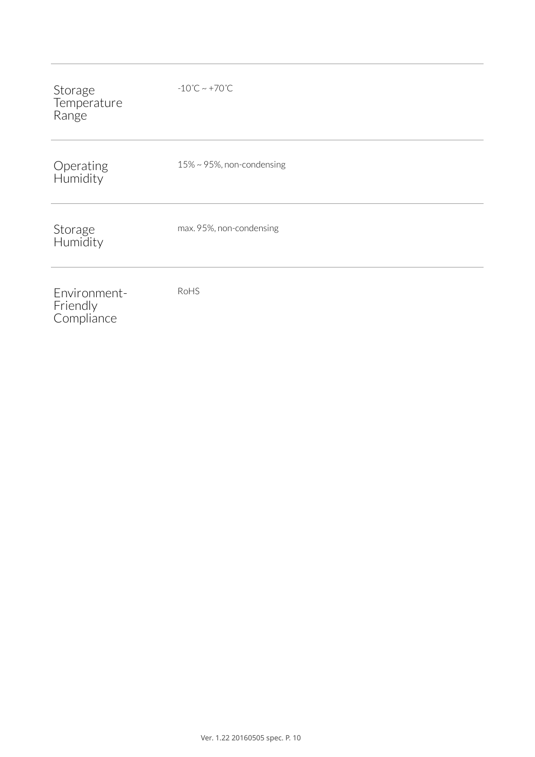| Storage<br>Temperature<br>Range        | $-10^{\circ}$ C ~ +70 $^{\circ}$ C |
|----------------------------------------|------------------------------------|
| Operating<br>Humidity                  | $15\% \sim 95\%$ , non-condensing  |
| Storage<br>Humidity                    | max. 95%, non-condensing           |
| Environment-<br>Friendly<br>Compliance | RoHS                               |